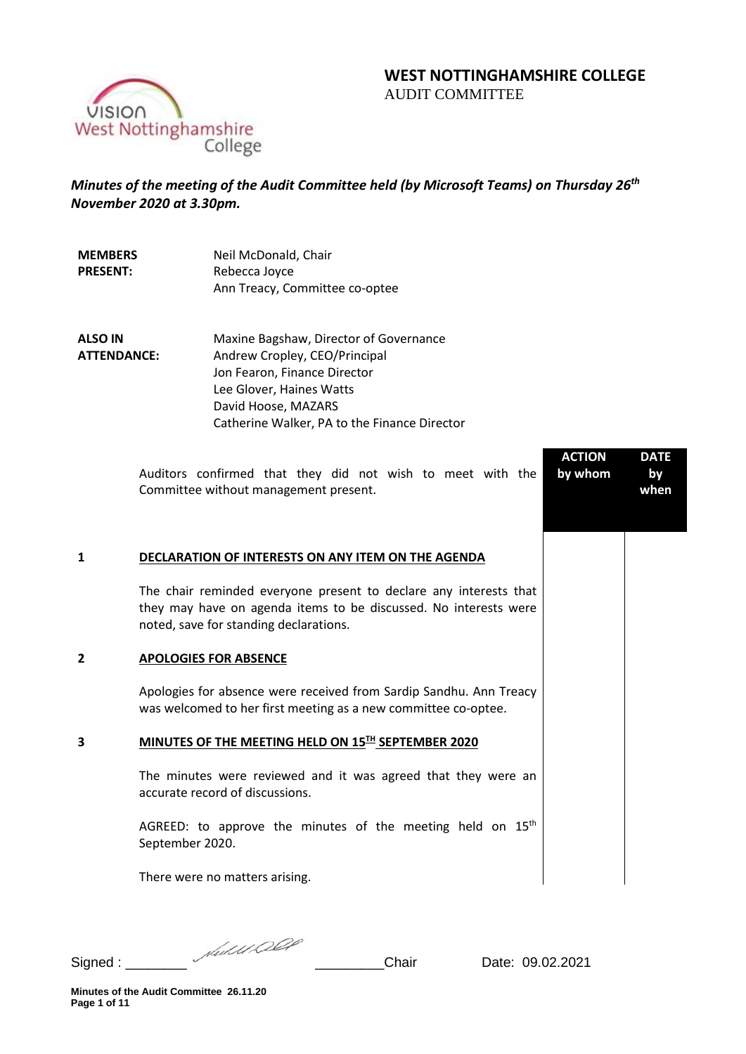# **WEST NOTTINGHAMSHIRE COLLEGE**  AUDIT COMMITTEE

**ACTION by whom**

**DATE by when**

VISION West Nottinghamshire College

# *Minutes of the meeting of the Audit Committee held (by Microsoft Teams) on Thursday 26th November 2020 at 3.30pm.*

| <b>MEMBERS</b>  | Neil McDonald, Chair           |
|-----------------|--------------------------------|
| <b>PRESENT:</b> | Rebecca Joyce                  |
|                 | Ann Treacy, Committee co-optee |

**ALSO IN ATTENDANCE:** Maxine Bagshaw, Director of Governance Andrew Cropley, CEO/Principal Jon Fearon, Finance Director Lee Glover, Haines Watts David Hoose, MAZARS Catherine Walker, PA to the Finance Director

> Auditors confirmed that they did not wish to meet with the Committee without management present.

# **1 DECLARATION OF INTERESTS ON ANY ITEM ON THE AGENDA**

The chair reminded everyone present to declare any interests that they may have on agenda items to be discussed. No interests were noted, save for standing declarations.

#### **2 APOLOGIES FOR ABSENCE**

Apologies for absence were received from Sardip Sandhu. Ann Treacy was welcomed to her first meeting as a new committee co-optee.

# **3 MINUTES OF THE MEETING HELD ON 15TH SEPTEMBER 2020**

The minutes were reviewed and it was agreed that they were an accurate record of discussions.

AGREED: to approve the minutes of the meeting held on  $15<sup>th</sup>$ September 2020.

There were no matters arising.

Signed : \_\_\_\_\_\_\_\_ \_\_\_\_\_\_\_\_\_Chair Date: 09.02.2021

**Minutes of the Audit Committee 26.11.20 Page 1 of 11**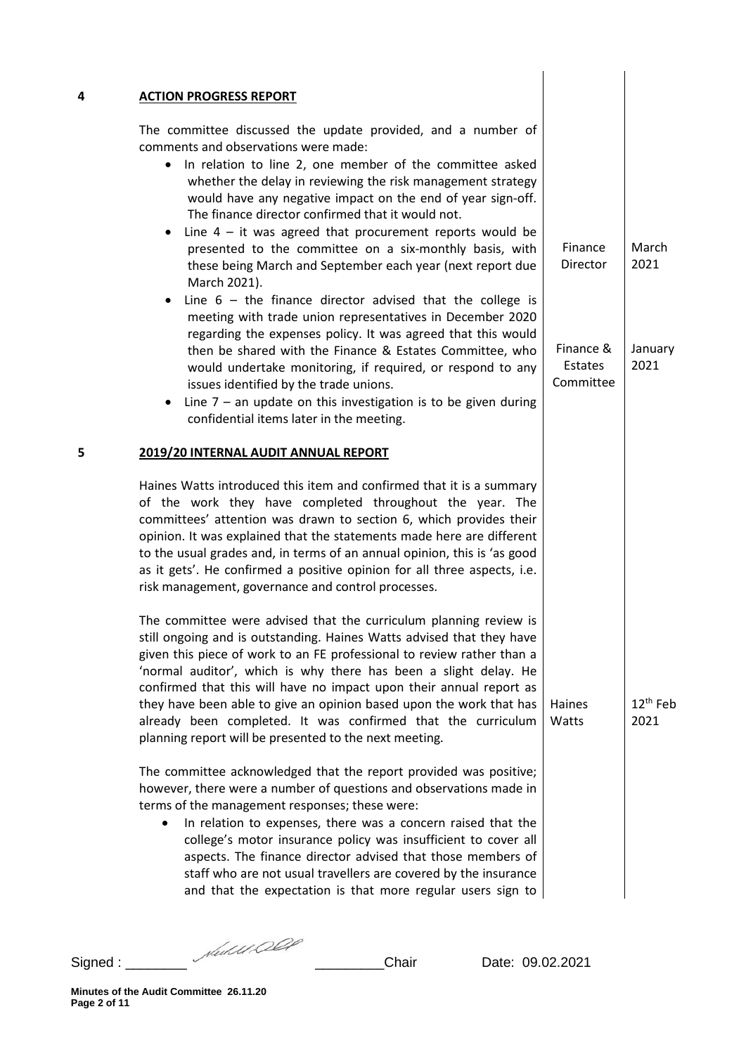|           | The committee discussed the update provided, and a number of                                                                                                                                                                                                                                                                                                                                                                                                                                                                                                                                                                                                                                                                                                                                                                                                                                                                   |                                                          |                                  |
|-----------|--------------------------------------------------------------------------------------------------------------------------------------------------------------------------------------------------------------------------------------------------------------------------------------------------------------------------------------------------------------------------------------------------------------------------------------------------------------------------------------------------------------------------------------------------------------------------------------------------------------------------------------------------------------------------------------------------------------------------------------------------------------------------------------------------------------------------------------------------------------------------------------------------------------------------------|----------------------------------------------------------|----------------------------------|
| $\bullet$ | comments and observations were made:<br>In relation to line 2, one member of the committee asked<br>whether the delay in reviewing the risk management strategy<br>would have any negative impact on the end of year sign-off.<br>The finance director confirmed that it would not.<br>Line $4 - it$ was agreed that procurement reports would be<br>presented to the committee on a six-monthly basis, with<br>these being March and September each year (next report due<br>March 2021).<br>Line $6 -$ the finance director advised that the college is<br>meeting with trade union representatives in December 2020<br>regarding the expenses policy. It was agreed that this would<br>then be shared with the Finance & Estates Committee, who<br>would undertake monitoring, if required, or respond to any<br>issues identified by the trade unions.<br>Line $7$ – an update on this investigation is to be given during | Finance<br>Director<br>Finance &<br>Estates<br>Committee | March<br>2021<br>January<br>2021 |
|           | confidential items later in the meeting.<br>2019/20 INTERNAL AUDIT ANNUAL REPORT                                                                                                                                                                                                                                                                                                                                                                                                                                                                                                                                                                                                                                                                                                                                                                                                                                               |                                                          |                                  |
|           | Haines Watts introduced this item and confirmed that it is a summary<br>of the work they have completed throughout the year. The<br>committees' attention was drawn to section 6, which provides their<br>opinion. It was explained that the statements made here are different<br>to the usual grades and, in terms of an annual opinion, this is 'as good<br>as it gets'. He confirmed a positive opinion for all three aspects, i.e.<br>risk management, governance and control processes.                                                                                                                                                                                                                                                                                                                                                                                                                                  |                                                          |                                  |
|           | The committee were advised that the curriculum planning review is<br>still ongoing and is outstanding. Haines Watts advised that they have<br>given this piece of work to an FE professional to review rather than a<br>'normal auditor', which is why there has been a slight delay. He<br>confirmed that this will have no impact upon their annual report as<br>they have been able to give an opinion based upon the work that has<br>already been completed. It was confirmed that the curriculum<br>planning report will be presented to the next meeting.                                                                                                                                                                                                                                                                                                                                                               | Haines<br>Watts                                          | 12 <sup>th</sup> Feb<br>2021     |
|           | The committee acknowledged that the report provided was positive;<br>however, there were a number of questions and observations made in<br>terms of the management responses; these were:<br>In relation to expenses, there was a concern raised that the<br>college's motor insurance policy was insufficient to cover all<br>aspects. The finance director advised that those members of<br>staff who are not usual travellers are covered by the insurance<br>and that the expectation is that more regular users sign to                                                                                                                                                                                                                                                                                                                                                                                                   |                                                          |                                  |

Signed : \_\_\_\_\_\_\_\_ \_\_\_\_\_\_\_\_\_Chair Date: 09.02.2021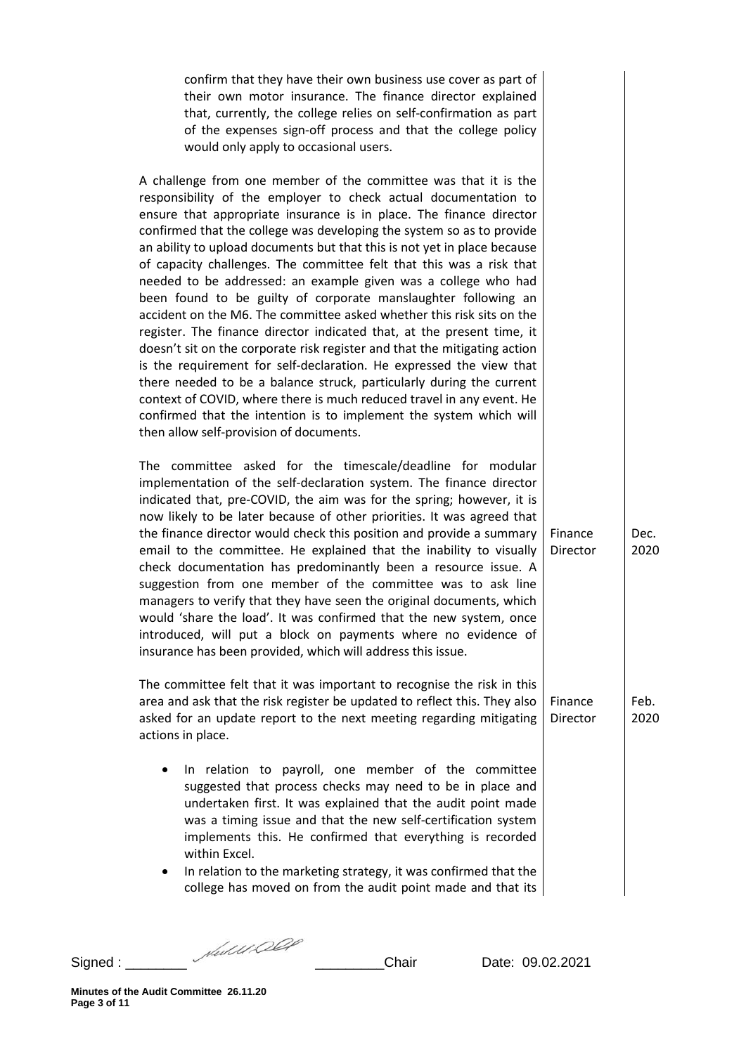confirm that they have their own business use cover as part of their own motor insurance. The finance director explained that, currently, the college relies on self-confirmation as part of the expenses sign-off process and that the college policy would only apply to occasional users.

A challenge from one member of the committee was that it is the responsibility of the employer to check actual documentation to ensure that appropriate insurance is in place. The finance director confirmed that the college was developing the system so as to provide an ability to upload documents but that this is not yet in place because of capacity challenges. The committee felt that this was a risk that needed to be addressed: an example given was a college who had been found to be guilty of corporate manslaughter following an accident on the M6. The committee asked whether this risk sits on the register. The finance director indicated that, at the present time, it doesn't sit on the corporate risk register and that the mitigating action is the requirement for self-declaration. He expressed the view that there needed to be a balance struck, particularly during the current context of COVID, where there is much reduced travel in any event. He confirmed that the intention is to implement the system which will then allow self-provision of documents.

The committee asked for the timescale/deadline for modular implementation of the self-declaration system. The finance director indicated that, pre-COVID, the aim was for the spring; however, it is now likely to be later because of other priorities. It was agreed that the finance director would check this position and provide a summary email to the committee. He explained that the inability to visually check documentation has predominantly been a resource issue. A suggestion from one member of the committee was to ask line managers to verify that they have seen the original documents, which would 'share the load'. It was confirmed that the new system, once introduced, will put a block on payments where no evidence of insurance has been provided, which will address this issue.

The committee felt that it was important to recognise the risk in this area and ask that the risk register be updated to reflect this. They also asked for an update report to the next meeting regarding mitigating actions in place. Finance Director

- In relation to payroll, one member of the committee suggested that process checks may need to be in place and undertaken first. It was explained that the audit point made was a timing issue and that the new self-certification system implements this. He confirmed that everything is recorded within Excel.
- In relation to the marketing strategy, it was confirmed that the college has moved on from the audit point made and that its

Signed : \_\_\_\_\_\_\_\_ \_\_\_\_\_\_\_\_\_Chair Date: 09.02.2021

Finance Dec.

Director

2020

Feb.

2020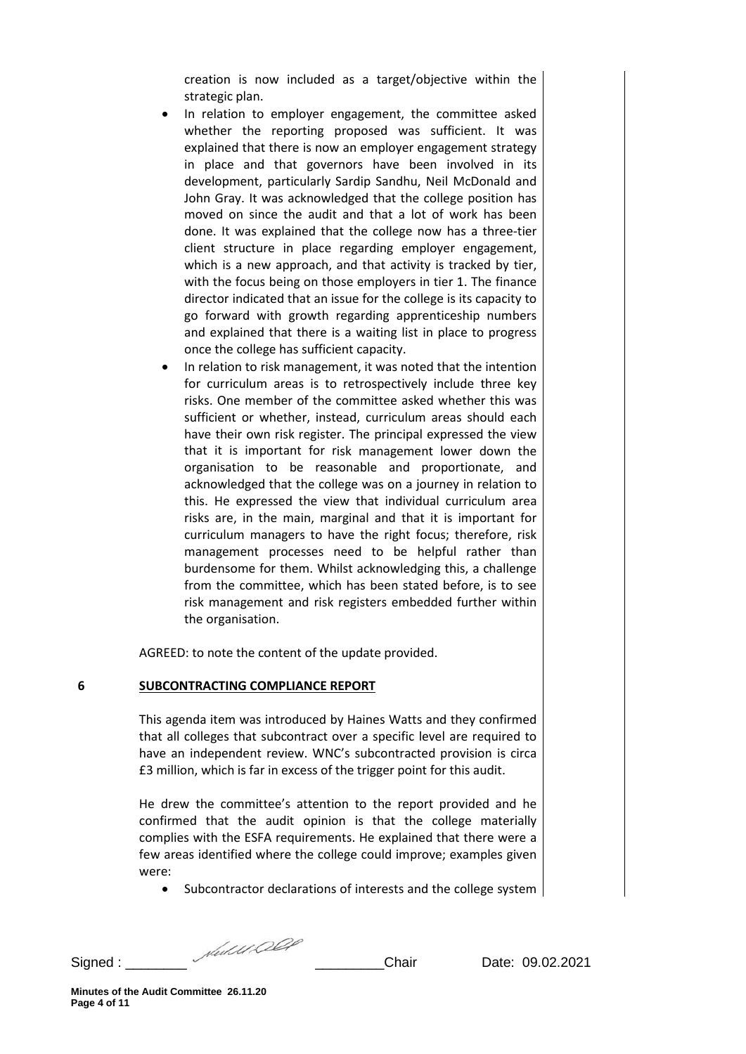creation is now included as a target/objective within the strategic plan.

- In relation to employer engagement, the committee asked whether the reporting proposed was sufficient. It was explained that there is now an employer engagement strategy in place and that governors have been involved in its development, particularly Sardip Sandhu, Neil McDonald and John Gray. It was acknowledged that the college position has moved on since the audit and that a lot of work has been done. It was explained that the college now has a three-tier client structure in place regarding employer engagement, which is a new approach, and that activity is tracked by tier, with the focus being on those employers in tier 1. The finance director indicated that an issue for the college is its capacity to go forward with growth regarding apprenticeship numbers and explained that there is a waiting list in place to progress once the college has sufficient capacity.
- In relation to risk management, it was noted that the intention for curriculum areas is to retrospectively include three key risks. One member of the committee asked whether this was sufficient or whether, instead, curriculum areas should each have their own risk register. The principal expressed the view that it is important for risk management lower down the organisation to be reasonable and proportionate, and acknowledged that the college was on a journey in relation to this. He expressed the view that individual curriculum area risks are, in the main, marginal and that it is important for curriculum managers to have the right focus; therefore, risk management processes need to be helpful rather than burdensome for them. Whilst acknowledging this, a challenge from the committee, which has been stated before, is to see risk management and risk registers embedded further within the organisation.

AGREED: to note the content of the update provided.

#### **6 SUBCONTRACTING COMPLIANCE REPORT**

This agenda item was introduced by Haines Watts and they confirmed that all colleges that subcontract over a specific level are required to have an independent review. WNC's subcontracted provision is circa £3 million, which is far in excess of the trigger point for this audit.

He drew the committee's attention to the report provided and he confirmed that the audit opinion is that the college materially complies with the ESFA requirements. He explained that there were a few areas identified where the college could improve; examples given were:

• Subcontractor declarations of interests and the college system

Signed : \_\_\_\_\_\_\_\_ \_\_\_\_\_\_\_\_\_Chair Date: 09.02.2021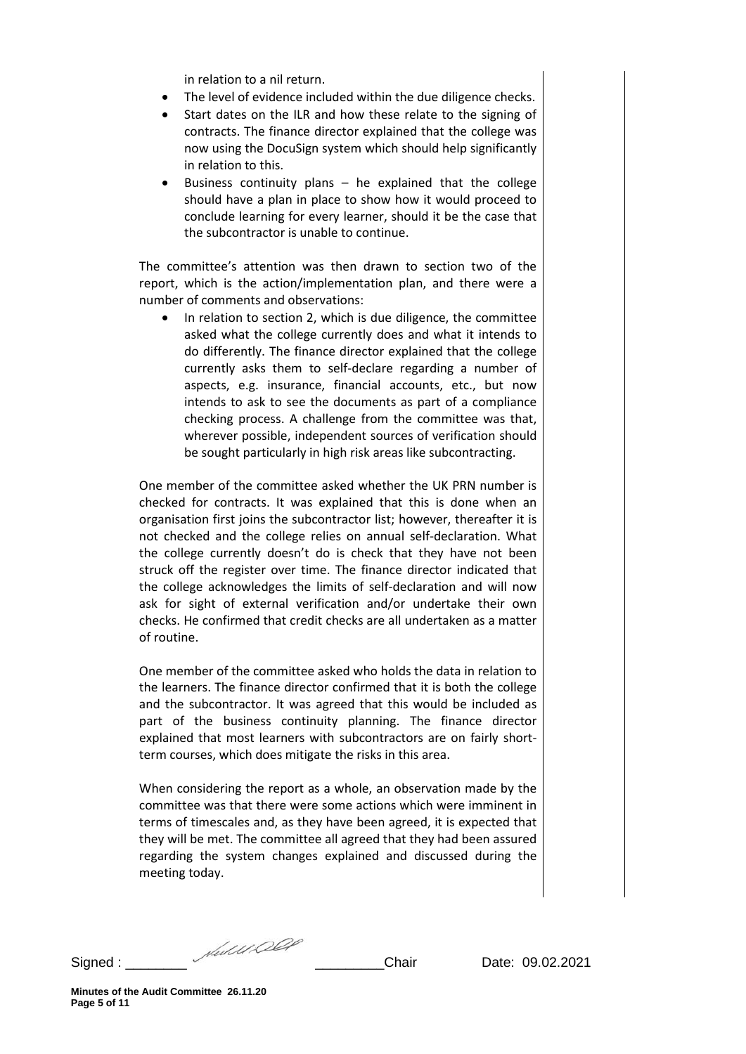in relation to a nil return.

- The level of evidence included within the due diligence checks.
- Start dates on the ILR and how these relate to the signing of contracts. The finance director explained that the college was now using the DocuSign system which should help significantly in relation to this.
- Business continuity plans  $-$  he explained that the college should have a plan in place to show how it would proceed to conclude learning for every learner, should it be the case that the subcontractor is unable to continue.

The committee's attention was then drawn to section two of the report, which is the action/implementation plan, and there were a number of comments and observations:

• In relation to section 2, which is due diligence, the committee asked what the college currently does and what it intends to do differently. The finance director explained that the college currently asks them to self-declare regarding a number of aspects, e.g. insurance, financial accounts, etc., but now intends to ask to see the documents as part of a compliance checking process. A challenge from the committee was that, wherever possible, independent sources of verification should be sought particularly in high risk areas like subcontracting.

One member of the committee asked whether the UK PRN number is checked for contracts. It was explained that this is done when an organisation first joins the subcontractor list; however, thereafter it is not checked and the college relies on annual self-declaration. What the college currently doesn't do is check that they have not been struck off the register over time. The finance director indicated that the college acknowledges the limits of self-declaration and will now ask for sight of external verification and/or undertake their own checks. He confirmed that credit checks are all undertaken as a matter of routine.

One member of the committee asked who holds the data in relation to the learners. The finance director confirmed that it is both the college and the subcontractor. It was agreed that this would be included as part of the business continuity planning. The finance director explained that most learners with subcontractors are on fairly shortterm courses, which does mitigate the risks in this area.

When considering the report as a whole, an observation made by the committee was that there were some actions which were imminent in terms of timescales and, as they have been agreed, it is expected that they will be met. The committee all agreed that they had been assured regarding the system changes explained and discussed during the meeting today.

Signed : \_\_\_\_\_\_\_\_ \_\_\_\_\_\_\_\_\_Chair Date: 09.02.2021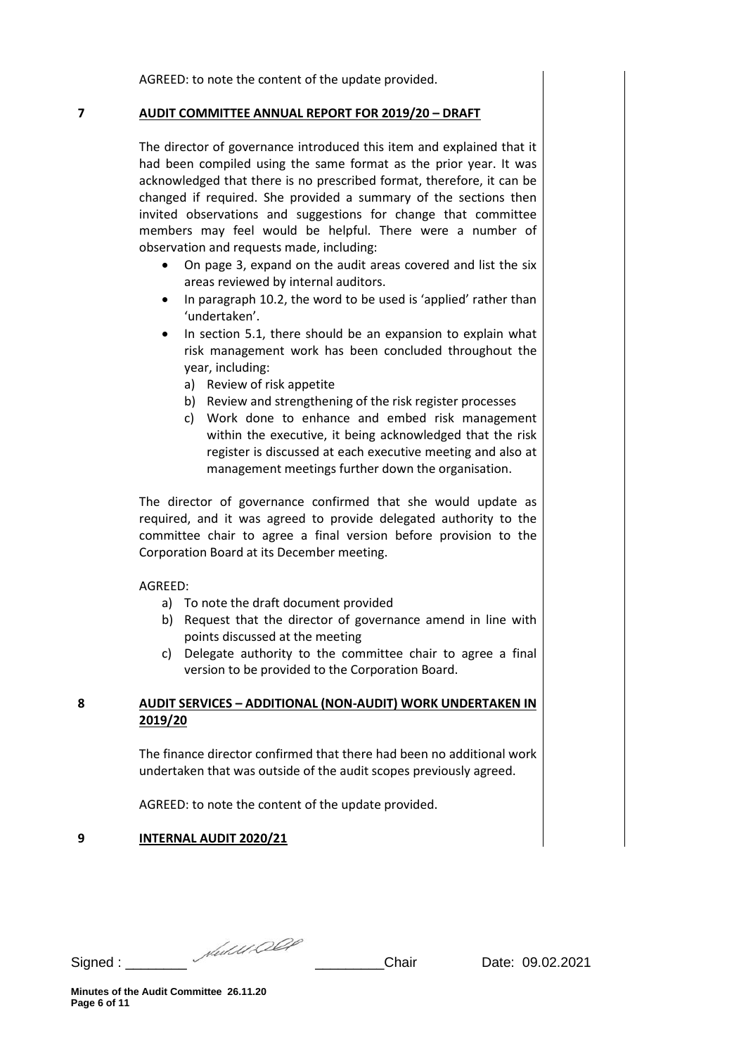AGREED: to note the content of the update provided.

#### **7 AUDIT COMMITTEE ANNUAL REPORT FOR 2019/20 – DRAFT**

The director of governance introduced this item and explained that it had been compiled using the same format as the prior year. It was acknowledged that there is no prescribed format, therefore, it can be changed if required. She provided a summary of the sections then invited observations and suggestions for change that committee members may feel would be helpful. There were a number of observation and requests made, including:

- On page 3, expand on the audit areas covered and list the six areas reviewed by internal auditors.
- In paragraph 10.2, the word to be used is 'applied' rather than 'undertaken'.
- In section 5.1, there should be an expansion to explain what risk management work has been concluded throughout the year, including:
	- a) Review of risk appetite
	- b) Review and strengthening of the risk register processes
	- c) Work done to enhance and embed risk management within the executive, it being acknowledged that the risk register is discussed at each executive meeting and also at management meetings further down the organisation.

The director of governance confirmed that she would update as required, and it was agreed to provide delegated authority to the committee chair to agree a final version before provision to the Corporation Board at its December meeting.

#### AGREED:

- a) To note the draft document provided
- b) Request that the director of governance amend in line with points discussed at the meeting
- c) Delegate authority to the committee chair to agree a final version to be provided to the Corporation Board.

### **8 AUDIT SERVICES – ADDITIONAL (NON-AUDIT) WORK UNDERTAKEN IN 2019/20**

The finance director confirmed that there had been no additional work undertaken that was outside of the audit scopes previously agreed.

AGREED: to note the content of the update provided.

#### **9 INTERNAL AUDIT 2020/21**

Signed : \_\_\_\_\_\_\_\_ \_\_\_\_\_\_\_\_\_Chair Date: 09.02.2021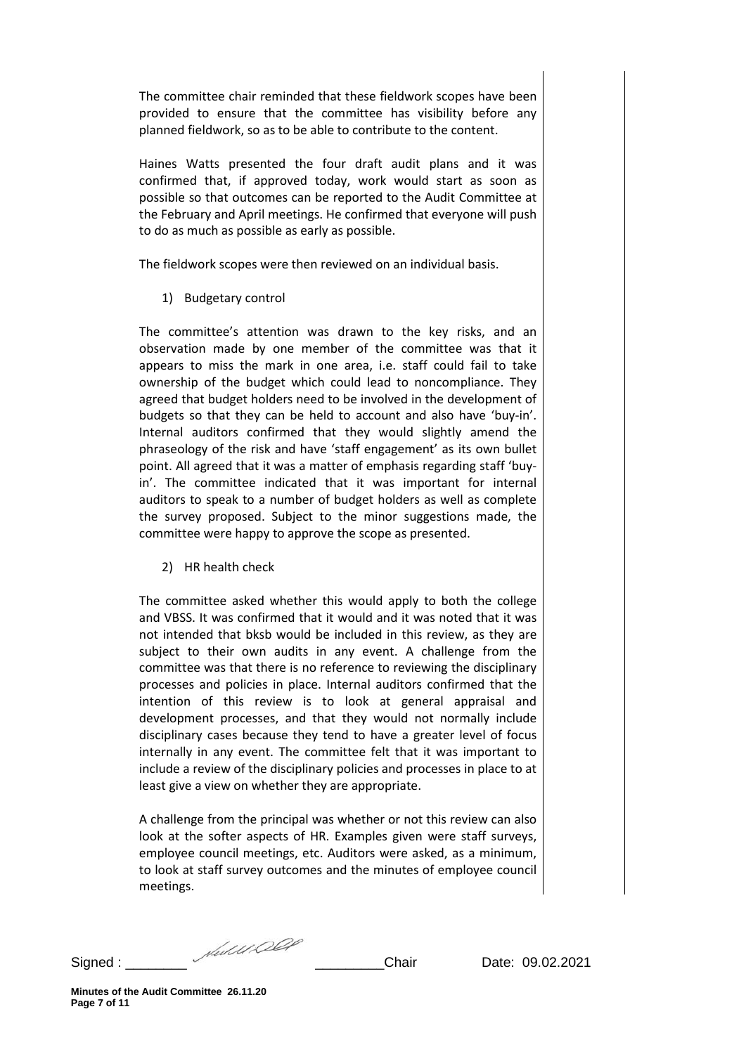The committee chair reminded that these fieldwork scopes have been provided to ensure that the committee has visibility before any planned fieldwork, so as to be able to contribute to the content.

Haines Watts presented the four draft audit plans and it was confirmed that, if approved today, work would start as soon as possible so that outcomes can be reported to the Audit Committee at the February and April meetings. He confirmed that everyone will push to do as much as possible as early as possible.

The fieldwork scopes were then reviewed on an individual basis.

1) Budgetary control

The committee's attention was drawn to the key risks, and an observation made by one member of the committee was that it appears to miss the mark in one area, i.e. staff could fail to take ownership of the budget which could lead to noncompliance. They agreed that budget holders need to be involved in the development of budgets so that they can be held to account and also have 'buy-in'. Internal auditors confirmed that they would slightly amend the phraseology of the risk and have 'staff engagement' as its own bullet point. All agreed that it was a matter of emphasis regarding staff 'buyin'. The committee indicated that it was important for internal auditors to speak to a number of budget holders as well as complete the survey proposed. Subject to the minor suggestions made, the committee were happy to approve the scope as presented.

2) HR health check

The committee asked whether this would apply to both the college and VBSS. It was confirmed that it would and it was noted that it was not intended that bksb would be included in this review, as they are subject to their own audits in any event. A challenge from the committee was that there is no reference to reviewing the disciplinary processes and policies in place. Internal auditors confirmed that the intention of this review is to look at general appraisal and development processes, and that they would not normally include disciplinary cases because they tend to have a greater level of focus internally in any event. The committee felt that it was important to include a review of the disciplinary policies and processes in place to at least give a view on whether they are appropriate.

A challenge from the principal was whether or not this review can also look at the softer aspects of HR. Examples given were staff surveys, employee council meetings, etc. Auditors were asked, as a minimum, to look at staff survey outcomes and the minutes of employee council meetings.

Signed : \_\_\_\_\_\_\_\_ \_\_\_\_\_\_\_\_\_Chair Date: 09.02.2021

**Minutes of the Audit Committee 26.11.20 Page 7 of 11**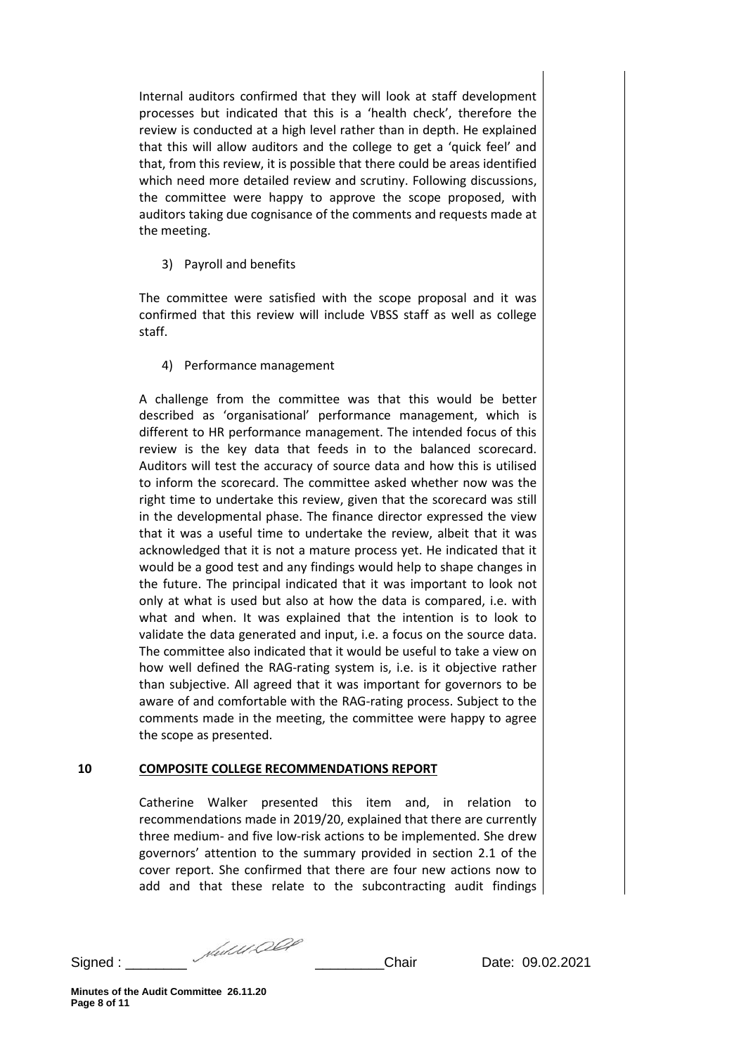Internal auditors confirmed that they will look at staff development processes but indicated that this is a 'health check', therefore the review is conducted at a high level rather than in depth. He explained that this will allow auditors and the college to get a 'quick feel' and that, from this review, it is possible that there could be areas identified which need more detailed review and scrutiny. Following discussions, the committee were happy to approve the scope proposed, with auditors taking due cognisance of the comments and requests made at the meeting.

### 3) Payroll and benefits

The committee were satisfied with the scope proposal and it was confirmed that this review will include VBSS staff as well as college staff.

# 4) Performance management

A challenge from the committee was that this would be better described as 'organisational' performance management, which is different to HR performance management. The intended focus of this review is the key data that feeds in to the balanced scorecard. Auditors will test the accuracy of source data and how this is utilised to inform the scorecard. The committee asked whether now was the right time to undertake this review, given that the scorecard was still in the developmental phase. The finance director expressed the view that it was a useful time to undertake the review, albeit that it was acknowledged that it is not a mature process yet. He indicated that it would be a good test and any findings would help to shape changes in the future. The principal indicated that it was important to look not only at what is used but also at how the data is compared, i.e. with what and when. It was explained that the intention is to look to validate the data generated and input, i.e. a focus on the source data. The committee also indicated that it would be useful to take a view on how well defined the RAG-rating system is, i.e. is it objective rather than subjective. All agreed that it was important for governors to be aware of and comfortable with the RAG-rating process. Subject to the comments made in the meeting, the committee were happy to agree the scope as presented.

#### **10 COMPOSITE COLLEGE RECOMMENDATIONS REPORT**

Catherine Walker presented this item and, in relation to recommendations made in 2019/20, explained that there are currently three medium- and five low-risk actions to be implemented. She drew governors' attention to the summary provided in section 2.1 of the cover report. She confirmed that there are four new actions now to add and that these relate to the subcontracting audit findings

Signed : \_\_\_\_\_\_\_\_ \_\_\_\_\_\_\_\_\_Chair Date: 09.02.2021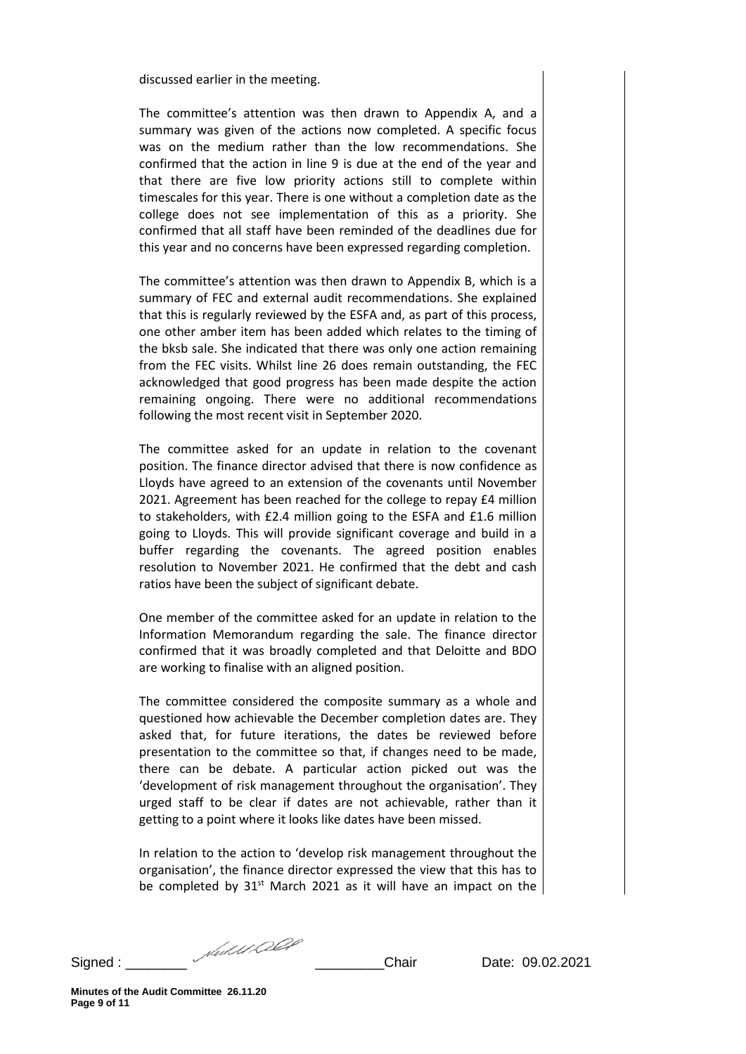discussed earlier in the meeting.

The committee's attention was then drawn to Appendix A, and a summary was given of the actions now completed. A specific focus was on the medium rather than the low recommendations. She confirmed that the action in line 9 is due at the end of the year and that there are five low priority actions still to complete within timescales for this year. There is one without a completion date as the college does not see implementation of this as a priority. She confirmed that all staff have been reminded of the deadlines due for this year and no concerns have been expressed regarding completion.

The committee's attention was then drawn to Appendix B, which is a summary of FEC and external audit recommendations. She explained that this is regularly reviewed by the ESFA and, as part of this process, one other amber item has been added which relates to the timing of the bksb sale. She indicated that there was only one action remaining from the FEC visits. Whilst line 26 does remain outstanding, the FEC acknowledged that good progress has been made despite the action remaining ongoing. There were no additional recommendations following the most recent visit in September 2020.

The committee asked for an update in relation to the covenant position. The finance director advised that there is now confidence as Lloyds have agreed to an extension of the covenants until November 2021. Agreement has been reached for the college to repay £4 million to stakeholders, with £2.4 million going to the ESFA and £1.6 million going to Lloyds. This will provide significant coverage and build in a buffer regarding the covenants. The agreed position enables resolution to November 2021. He confirmed that the debt and cash ratios have been the subject of significant debate.

One member of the committee asked for an update in relation to the Information Memorandum regarding the sale. The finance director confirmed that it was broadly completed and that Deloitte and BDO are working to finalise with an aligned position.

The committee considered the composite summary as a whole and questioned how achievable the December completion dates are. They asked that, for future iterations, the dates be reviewed before presentation to the committee so that, if changes need to be made, there can be debate. A particular action picked out was the 'development of risk management throughout the organisation'. They urged staff to be clear if dates are not achievable, rather than it getting to a point where it looks like dates have been missed.

In relation to the action to 'develop risk management throughout the organisation', the finance director expressed the view that this has to be completed by  $31^{st}$  March 2021 as it will have an impact on the

Signed : \_\_\_\_\_\_\_\_ \_\_\_\_\_\_\_\_\_Chair Date: 09.02.2021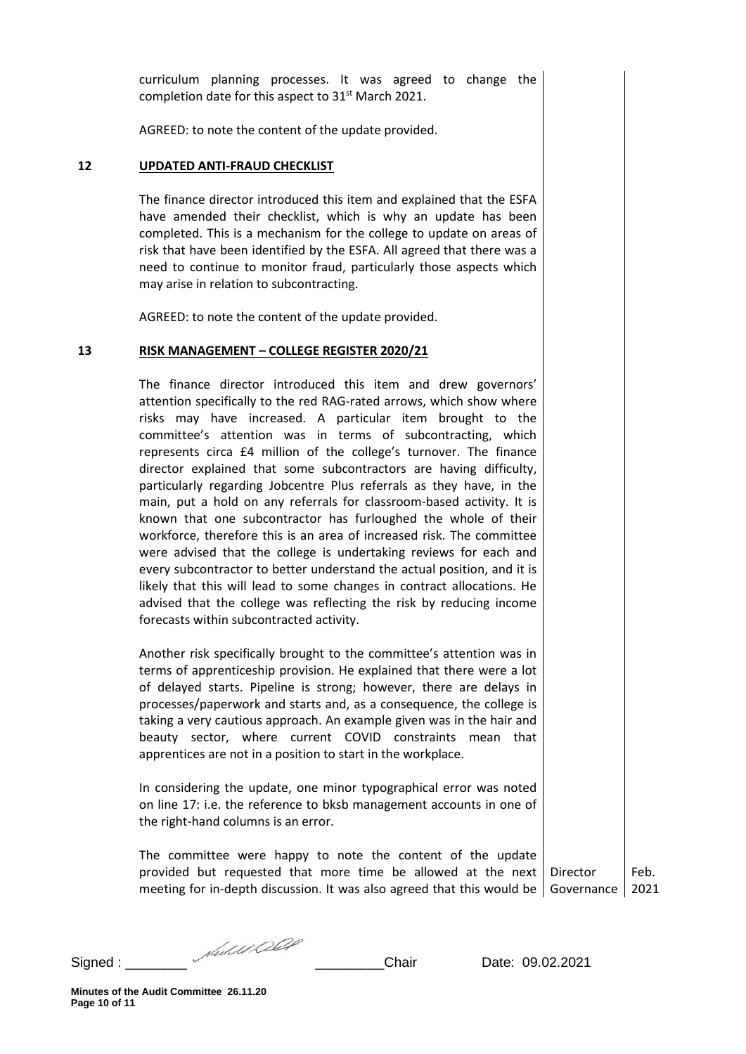curriculum planning processes. It was agreed to change the completion date for this aspect to 31<sup>st</sup> March 2021.

AGREED: to note the content of the update provided.

#### **12 UPDATED ANTI-FRAUD CHECKLIST**

The finance director introduced this item and explained that the ESFA have amended their checklist, which is why an update has been completed. This is a mechanism for the college to update on areas of risk that have been identified by the ESFA. All agreed that there was a need to continue to monitor fraud, particularly those aspects which may arise in relation to subcontracting.

AGREED: to note the content of the update provided.

#### **13 RISK MANAGEMENT – COLLEGE REGISTER 2020/21**

The finance director introduced this item and drew governors' attention specifically to the red RAG-rated arrows, which show where risks may have increased. A particular item brought to the committee's attention was in terms of subcontracting, which represents circa £4 million of the college's turnover. The finance director explained that some subcontractors are having difficulty, particularly regarding Jobcentre Plus referrals as they have, in the main, put a hold on any referrals for classroom-based activity. It is known that one subcontractor has furloughed the whole of their workforce, therefore this is an area of increased risk. The committee were advised that the college is undertaking reviews for each and every subcontractor to better understand the actual position, and it is likely that this will lead to some changes in contract allocations. He advised that the college was reflecting the risk by reducing income forecasts within subcontracted activity.

Another risk specifically brought to the committee's attention was in terms of apprenticeship provision. He explained that there were a lot of delayed starts. Pipeline is strong; however, there are delays in processes/paperwork and starts and, as a consequence, the college is taking a very cautious approach. An example given was in the hair and beauty sector, where current COVID constraints mean that apprentices are not in a position to start in the workplace.

In considering the update, one minor typographical error was noted on line 17: i.e. the reference to bksb management accounts in one of the right-hand columns is an error.

The committee were happy to note the content of the update provided but requested that more time be allowed at the next Director meeting for in-depth discussion. It was also agreed that this would be Governance 2021

Feb.

Signed : \_\_\_\_\_\_\_\_ \_\_\_\_\_\_\_\_\_Chair Date: 09.02.2021